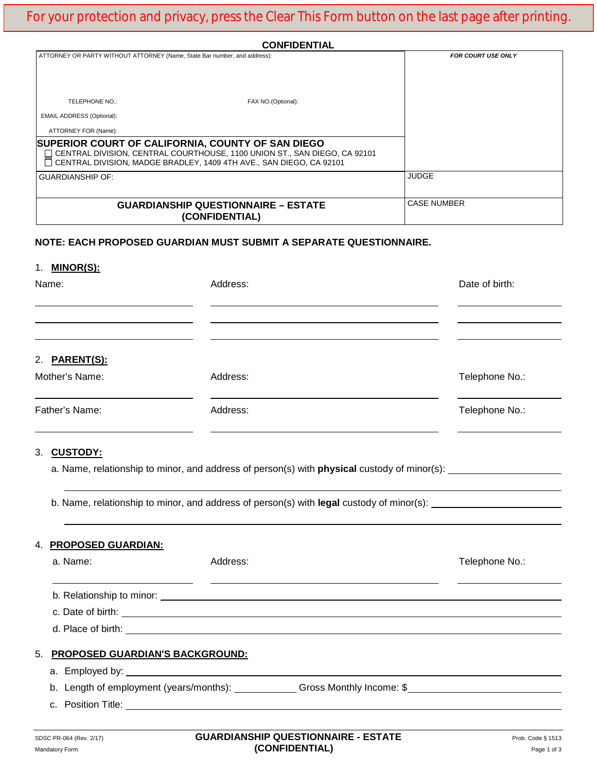| <b>CONFIDENTIAL</b>                                                       |                                                                                                                                                                                                         |                           |  |
|---------------------------------------------------------------------------|---------------------------------------------------------------------------------------------------------------------------------------------------------------------------------------------------------|---------------------------|--|
| ATTORNEY OR PARTY WITHOUT ATTORNEY (Name, State Bar number, and address): |                                                                                                                                                                                                         | <b>FOR COURT USE ONLY</b> |  |
|                                                                           |                                                                                                                                                                                                         |                           |  |
| TELEPHONE NO.:                                                            | FAX NO.(Optional):                                                                                                                                                                                      |                           |  |
| <b>EMAIL ADDRESS (Optional):</b>                                          |                                                                                                                                                                                                         |                           |  |
| ATTORNEY FOR (Name):                                                      |                                                                                                                                                                                                         |                           |  |
|                                                                           | SUPERIOR COURT OF CALIFORNIA, COUNTY OF SAN DIEGO<br>□ CENTRAL DIVISION, CENTRAL COURTHOUSE, 1100 UNION ST., SAN DIEGO, CA 92101<br>CENTRAL DIVISION, MADGE BRADLEY, 1409 4TH AVE., SAN DIEGO, CA 92101 |                           |  |
| <b>GUARDIANSHIP OF:</b>                                                   |                                                                                                                                                                                                         | <b>JUDGE</b>              |  |
|                                                                           |                                                                                                                                                                                                         |                           |  |
| <b>GUARDIANSHIP QUESTIONNAIRE - ESTATE</b><br>(CONFIDENTIAL)              |                                                                                                                                                                                                         | <b>CASE NUMBER</b>        |  |
|                                                                           | NOTE: EACH PROPOSED GUARDIAN MUST SUBMIT A SEPARATE QUESTIONNAIRE.                                                                                                                                      |                           |  |
| 1. <b>MINOR(S):</b>                                                       |                                                                                                                                                                                                         |                           |  |
| Name:                                                                     | Address:                                                                                                                                                                                                | Date of birth:            |  |
|                                                                           |                                                                                                                                                                                                         |                           |  |
|                                                                           |                                                                                                                                                                                                         |                           |  |
|                                                                           |                                                                                                                                                                                                         |                           |  |
|                                                                           |                                                                                                                                                                                                         |                           |  |

## 2. **PARENT(S):**

| Mother's Name: | Address: | Telephone No.: |  |
|----------------|----------|----------------|--|
| Father's Name: | Address: | Telephone No.: |  |

## 3. **CUSTODY:**

a. Name, relationship to minor, and address of person(s) with **physical** custody of minor(s):

b. Name, relationship to minor, and address of person(s) with **legal** custody of minor(s):

|  | 4. <u>PROPOSED GUARDIAN:</u>       |          |                                                                                                                 |                |
|--|------------------------------------|----------|-----------------------------------------------------------------------------------------------------------------|----------------|
|  | a. Name:                           | Address: |                                                                                                                 | Telephone No.: |
|  |                                    |          |                                                                                                                 |                |
|  |                                    |          |                                                                                                                 |                |
|  | 5. PROPOSED GUARDIAN'S BACKGROUND: |          |                                                                                                                 |                |
|  |                                    |          |                                                                                                                 |                |
|  |                                    |          | b. Length of employment (years/months): Consumer Constant Constant Oromony Services Constant Oromony Constant O |                |
|  |                                    |          |                                                                                                                 |                |
|  |                                    |          |                                                                                                                 |                |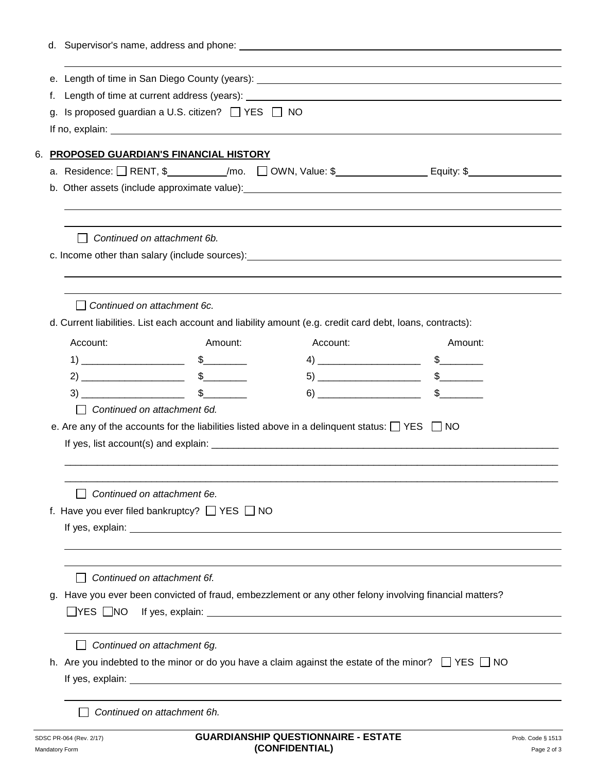| f. |                                                           |                                                                                                                                                                                                                                                                                                                                                                                                                                                                 |                                               |                                                                                                                                                                                                                                |  |
|----|-----------------------------------------------------------|-----------------------------------------------------------------------------------------------------------------------------------------------------------------------------------------------------------------------------------------------------------------------------------------------------------------------------------------------------------------------------------------------------------------------------------------------------------------|-----------------------------------------------|--------------------------------------------------------------------------------------------------------------------------------------------------------------------------------------------------------------------------------|--|
| q. |                                                           |                                                                                                                                                                                                                                                                                                                                                                                                                                                                 |                                               |                                                                                                                                                                                                                                |  |
|    | Is proposed guardian a U.S. citizen? $\Box$ YES $\Box$ NO |                                                                                                                                                                                                                                                                                                                                                                                                                                                                 |                                               |                                                                                                                                                                                                                                |  |
|    |                                                           |                                                                                                                                                                                                                                                                                                                                                                                                                                                                 |                                               |                                                                                                                                                                                                                                |  |
|    |                                                           | 6. PROPOSED GUARDIAN'S FINANCIAL HISTORY                                                                                                                                                                                                                                                                                                                                                                                                                        |                                               |                                                                                                                                                                                                                                |  |
|    |                                                           |                                                                                                                                                                                                                                                                                                                                                                                                                                                                 |                                               |                                                                                                                                                                                                                                |  |
|    |                                                           |                                                                                                                                                                                                                                                                                                                                                                                                                                                                 |                                               |                                                                                                                                                                                                                                |  |
|    |                                                           |                                                                                                                                                                                                                                                                                                                                                                                                                                                                 |                                               |                                                                                                                                                                                                                                |  |
|    |                                                           | Continued on attachment 6b.                                                                                                                                                                                                                                                                                                                                                                                                                                     |                                               |                                                                                                                                                                                                                                |  |
|    |                                                           |                                                                                                                                                                                                                                                                                                                                                                                                                                                                 |                                               | c. Income other than salary (include sources): example and the same control of the same control of the same control of the same control of the same control of the same control of the same control of the same control of the |  |
|    |                                                           |                                                                                                                                                                                                                                                                                                                                                                                                                                                                 |                                               |                                                                                                                                                                                                                                |  |
|    |                                                           |                                                                                                                                                                                                                                                                                                                                                                                                                                                                 |                                               |                                                                                                                                                                                                                                |  |
|    | Continued on attachment 6c.                               |                                                                                                                                                                                                                                                                                                                                                                                                                                                                 |                                               |                                                                                                                                                                                                                                |  |
|    |                                                           | d. Current liabilities. List each account and liability amount (e.g. credit card debt, loans, contracts):                                                                                                                                                                                                                                                                                                                                                       |                                               |                                                                                                                                                                                                                                |  |
|    | Account:                                                  | Amount:                                                                                                                                                                                                                                                                                                                                                                                                                                                         | Account:                                      | Amount:                                                                                                                                                                                                                        |  |
|    |                                                           | $1) \begin{tabular}{@{}c@{}} \hline \multicolumn{3}{c }{\textbf{1}} & \multicolumn{3}{c }{\textbf{1}} \\ \multicolumn{3}{c }{\textbf{2}} & \multicolumn{3}{c }{\textbf{3}} \\ \multicolumn{3}{c }{\textbf{4}} & \multicolumn{3}{c }{\textbf{5}} \\ \multicolumn{3}{c }{\textbf{5}} & \multicolumn{3}{c }{\textbf{6}} \\ \multicolumn{3}{c }{\textbf{6}} & \multicolumn{3}{c }{\textbf{6}} \\ \multicolumn{3}{c }{\textbf{7}} & \multicolumn{3}{c }{\textbf{8}}$ |                                               | $\frac{1}{2}$                                                                                                                                                                                                                  |  |
|    |                                                           |                                                                                                                                                                                                                                                                                                                                                                                                                                                                 |                                               | $\frac{1}{2}$                                                                                                                                                                                                                  |  |
|    |                                                           |                                                                                                                                                                                                                                                                                                                                                                                                                                                                 | $6) \qquad \qquad \overbrace{\qquad \qquad }$ |                                                                                                                                                                                                                                |  |
|    |                                                           | Continued on attachment 6d.                                                                                                                                                                                                                                                                                                                                                                                                                                     |                                               |                                                                                                                                                                                                                                |  |
|    |                                                           | e. Are any of the accounts for the liabilities listed above in a delinquent status: $\Box$ YES $\Box$ NO                                                                                                                                                                                                                                                                                                                                                        |                                               |                                                                                                                                                                                                                                |  |
|    |                                                           |                                                                                                                                                                                                                                                                                                                                                                                                                                                                 |                                               |                                                                                                                                                                                                                                |  |
|    |                                                           |                                                                                                                                                                                                                                                                                                                                                                                                                                                                 |                                               |                                                                                                                                                                                                                                |  |
|    |                                                           |                                                                                                                                                                                                                                                                                                                                                                                                                                                                 |                                               |                                                                                                                                                                                                                                |  |
|    |                                                           | Continued on attachment 6e.                                                                                                                                                                                                                                                                                                                                                                                                                                     |                                               |                                                                                                                                                                                                                                |  |
|    |                                                           | f. Have you ever filed bankruptcy? $\Box$ YES $\Box$ NO                                                                                                                                                                                                                                                                                                                                                                                                         |                                               |                                                                                                                                                                                                                                |  |
|    |                                                           |                                                                                                                                                                                                                                                                                                                                                                                                                                                                 |                                               |                                                                                                                                                                                                                                |  |
|    |                                                           |                                                                                                                                                                                                                                                                                                                                                                                                                                                                 |                                               |                                                                                                                                                                                                                                |  |
|    |                                                           |                                                                                                                                                                                                                                                                                                                                                                                                                                                                 |                                               |                                                                                                                                                                                                                                |  |
|    |                                                           | Continued on attachment 6f.                                                                                                                                                                                                                                                                                                                                                                                                                                     |                                               |                                                                                                                                                                                                                                |  |
| g. |                                                           | Have you ever been convicted of fraud, embezzlement or any other felony involving financial matters?                                                                                                                                                                                                                                                                                                                                                            |                                               |                                                                                                                                                                                                                                |  |
|    | $\Box$ yes $\Box$ no                                      |                                                                                                                                                                                                                                                                                                                                                                                                                                                                 |                                               |                                                                                                                                                                                                                                |  |
|    |                                                           | Continued on attachment 6g.                                                                                                                                                                                                                                                                                                                                                                                                                                     |                                               |                                                                                                                                                                                                                                |  |
|    |                                                           | h. Are you indebted to the minor or do you have a claim against the estate of the minor? $\Box$ YES $\Box$ NO                                                                                                                                                                                                                                                                                                                                                   |                                               |                                                                                                                                                                                                                                |  |
|    |                                                           |                                                                                                                                                                                                                                                                                                                                                                                                                                                                 |                                               |                                                                                                                                                                                                                                |  |
|    |                                                           |                                                                                                                                                                                                                                                                                                                                                                                                                                                                 |                                               |                                                                                                                                                                                                                                |  |
|    |                                                           | Continued on attachment 6h.                                                                                                                                                                                                                                                                                                                                                                                                                                     |                                               |                                                                                                                                                                                                                                |  |
|    |                                                           |                                                                                                                                                                                                                                                                                                                                                                                                                                                                 |                                               |                                                                                                                                                                                                                                |  |